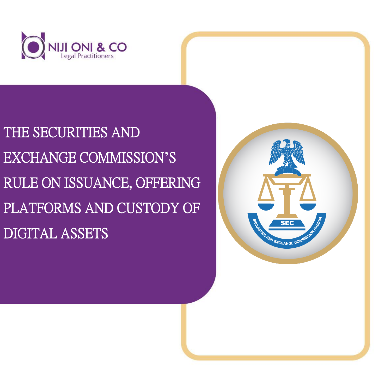

# THE SECURITIES AND EXCHANGE COMMISSION**'**S RULE ON ISSUANCE, OFFERING PLATFORMS AND CUSTODY OF DIGITAL ASSETS

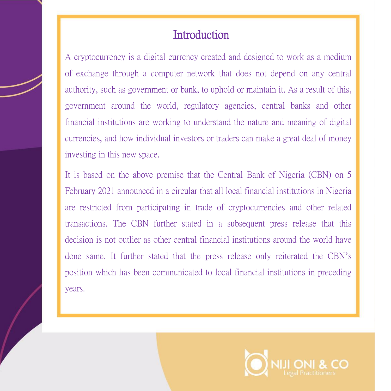## **Introduction**

A cryptocurrency is a digital currency created and designed to work as a medium of exchange through a computer network that does not depend on any central authority, such as government or bank, to uphold or maintain it. As a result of this, government around the world, regulatory agencies, central banks and other financial institutions are working to understand the nature and meaning of digital currencies, and how individual investors or traders can make a great deal of money investing in this new space.

It is based on the above premise that the Central Bank of Nigeria (CBN) on 5 February 2021 announced in a circular that all local financial institutions in Nigeria are restricted from participating in trade of cryptocurrencies and other related transactions. The CBN further stated in a subsequent press release that this decision is not outlier as other central financial institutions around the world have done same. It further stated that the press release only reiterated the CBN's position which has been communicated to local financial institutions in preceding years.

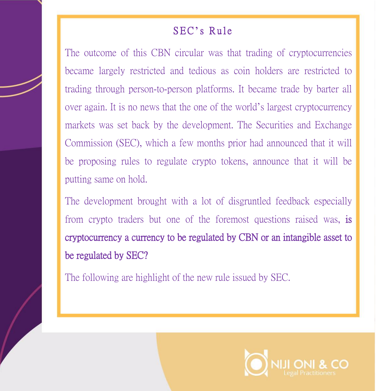#### SEC's Rule

The outcome of this CBN circular was that trading of cryptocurrencies became largely restricted and tedious as coin holders are restricted to trading through person-to-person platforms. It became trade by barter all over again. It is no news that the one of the world's largest cryptocurrency markets was set back by the development. The Securities and Exchange Commission (SEC), which a few months prior had announced that it will be proposing rules to regulate crypto tokens, announce that it will be putting same on hold.

The development brought with a lot of disgruntled feedback especially from crypto traders but one of the foremost questions raised was, is cryptocurrency a currency to be regulated by CBN or an intangible asset to be regulated by SEC?

The following are highlight of the new rule issued by SEC.

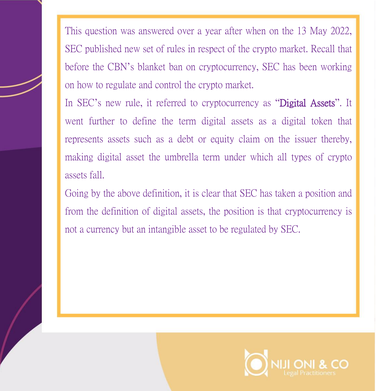This question was answered over a year after when on the 13 May 2022, SEC published new set of rules in respect of the crypto market. Recall that before the CBN's blanket ban on cryptocurrency, SEC has been working on how to regulate and control the crypto market.

In SEC's new rule, it referred to cryptocurrency as "Digital Assets". It went further to define the term digital assets as a digital token that represents assets such as a debt or equity claim on the issuer thereby, making digital asset the umbrella term under which all types of crypto assets fall.

Going by the above definition, it is clear that SEC has taken a position and from the definition of digital assets, the position is that cryptocurrency is not a currency but an intangible asset to be regulated by SEC.

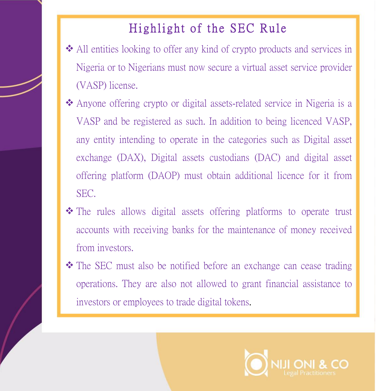## Highlight of the SEC Rule

- ❖ All entities looking to offer any kind of crypto products and services in Nigeria or to Nigerians must now secure a virtual asset service provider (VASP) license.
- ❖ Anyone offering crypto or digital assets-related service in Nigeria is a VASP and be registered as such. In addition to being licenced VASP, any entity intending to operate in the categories such as Digital asset exchange (DAX), Digital assets custodians (DAC) and digital asset offering platform (DAOP) must obtain additional licence for it from SEC.
- ❖ The rules allows digital assets offering platforms to operate trust accounts with receiving banks for the maintenance of money received from investors.
- ❖ The SEC must also be notified before an exchange can cease trading operations. They are also not allowed to grant financial assistance to investors or employees to trade digital tokens.

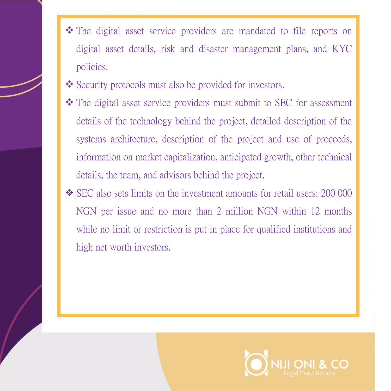- ❖ The digital asset service providers are mandated to file reports on digital asset details, risk and disaster management plans, and KYC policies.
- ❖ Security protocols must also be provided for investors.
- ❖ The digital asset service providers must submit to SEC for assessment details of the technology behind the project, detailed description of the systems architecture, description of the project and use of proceeds, information on market capitalization, anticipated growth, other technical details, the team, and advisors behind the project.
- ❖ SEC also sets limits on the investment amounts for retail users: 200 000 NGN per issue and no more than 2 million NGN within 12 months while no limit or restriction is put in place for qualified institutions and high net worth investors.

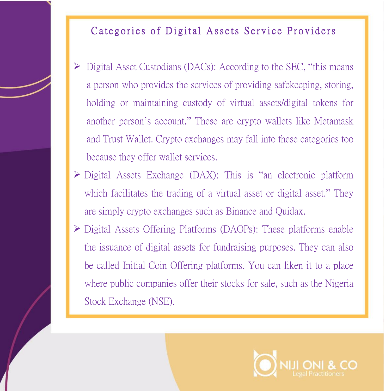#### Categories of Digital Assets Service Providers

- Digital Asset Custodians (DACs): According to the SEC, "this means" a person who provides the services of providing safekeeping, storing, holding or maintaining custody of virtual assets/digital tokens for another person's account." These are crypto wallets like Metamask and Trust Wallet. Crypto exchanges may fall into these categories too because they offer wallet services.
- ➢ Digital Assets Exchange (DAX): This is "an electronic platform which facilitates the trading of a virtual asset or digital asset." They are simply crypto exchanges such as Binance and Quidax.
- ➢ Digital Assets Offering Platforms (DAOPs): These platforms enable the issuance of digital assets for fundraising purposes. They can also be called Initial Coin Offering platforms. You can liken it to a place where public companies offer their stocks for sale, such as the Nigeria Stock Exchange (NSE).

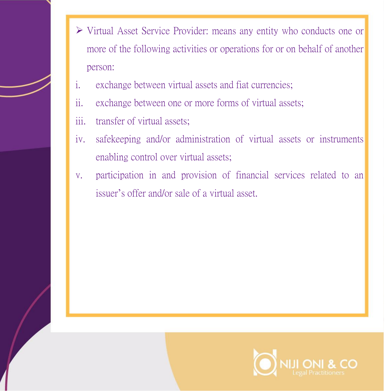- ➢ Virtual Asset Service Provider: means any entity who conducts one or more of the following activities or operations for or on behalf of another person:
- i. exchange between virtual assets and fiat currencies;
- ii. exchange between one or more forms of virtual assets;
- iii. transfer of virtual assets;
- iv. safekeeping and/or administration of virtual assets or instruments enabling control over virtual assets;
- v. participation in and provision of financial services related to an issuer's offer and/or sale of a virtual asset.

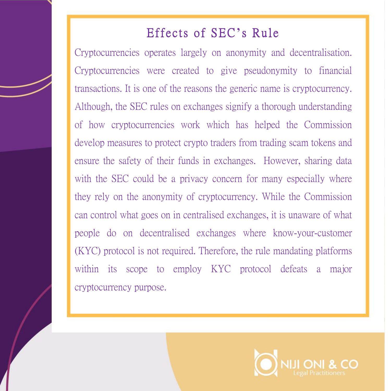## Effects of SEC's Rule

Cryptocurrencies operates largely on anonymity and decentralisation. Cryptocurrencies were created to give pseudonymity to financial transactions. It is one of the reasons the generic name is cryptocurrency. Although, the SEC rules on exchanges signify a thorough understanding of how cryptocurrencies work which has helped the Commission develop measures to protect crypto traders from trading scam tokens and ensure the safety of their funds in exchanges. However, sharing data with the SEC could be a privacy concern for many especially where they rely on the anonymity of cryptocurrency. While the Commission can control what goes on in centralised exchanges, it is unaware of what people do on decentralised exchanges where know-your-customer (KYC) protocol is not required. Therefore, the rule mandating platforms within its scope to employ KYC protocol defeats a major cryptocurrency purpose.

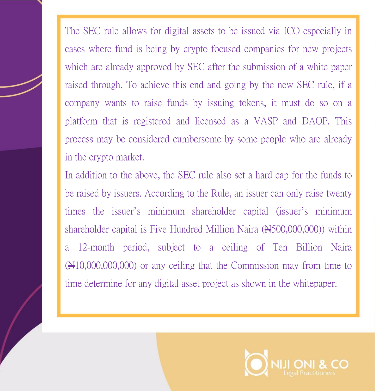The SEC rule allows for digital assets to be issued via ICO especially in cases where fund is being by crypto focused companies for new projects which are already approved by SEC after the submission of a white paper raised through. To achieve this end and going by the new SEC rule, if a company wants to raise funds by issuing tokens, it must do so on a platform that is registered and licensed as a VASP and DAOP. This process may be considered cumbersome by some people who are already in the crypto market.

In addition to the above, the SEC rule also set a hard cap for the funds to be raised by issuers. According to the Rule, an issuer can only raise twenty times the issuer's minimum shareholder capital (issuer's minimum shareholder capital is Five Hundred Million Naira  $(\text{H}500,000,000)$  within a 12-month period, subject to a ceiling of Ten Billion Naira  $(\text{N10},000,000,000)$  or any ceiling that the Commission may from time to time determine for any digital asset project as shown in the whitepaper.

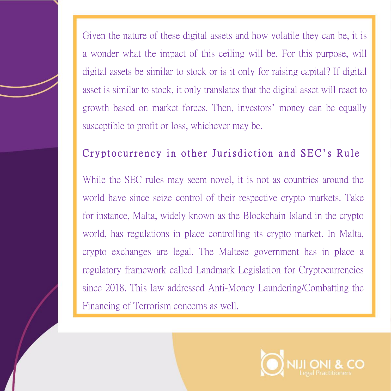Given the nature of these digital assets and how volatile they can be, it is a wonder what the impact of this ceiling will be. For this purpose, will digital assets be similar to stock or is it only for raising capital? If digital asset is similar to stock, it only translates that the digital asset will react to growth based on market forces. Then, investors' money can be equally susceptible to profit or loss, whichever may be.

### Cryptocurrency in other Jurisdiction and SEC's Rule

While the SEC rules may seem novel, it is not as countries around the world have since seize control of their respective crypto markets. Take for instance, Malta, widely known as the Blockchain Island in the crypto world, has regulations in place controlling its crypto market. In Malta, crypto exchanges are legal. The Maltese government has in place a regulatory framework called Landmark Legislation for Cryptocurrencies since 2018. This law addressed Anti-Money Laundering/Combatting the Financing of Terrorism concerns as well.

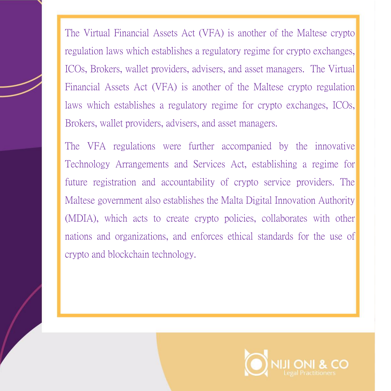The Virtual Financial Assets Act (VFA) is another of the Maltese crypto regulation laws which establishes a regulatory regime for crypto exchanges, ICOs, Brokers, wallet providers, advisers, and asset managers. The Virtual Financial Assets Act (VFA) is another of the Maltese crypto regulation laws which establishes a regulatory regime for crypto exchanges, ICOs, Brokers, wallet providers, advisers, and asset managers.

The VFA regulations were further accompanied by the innovative Technology Arrangements and Services Act, establishing a regime for future registration and accountability of crypto service providers. The Maltese government also establishes the Malta Digital Innovation Authority (MDIA), which acts to create crypto policies, collaborates with other nations and organizations, and enforces ethical standards for the use of crypto and blockchain technology.

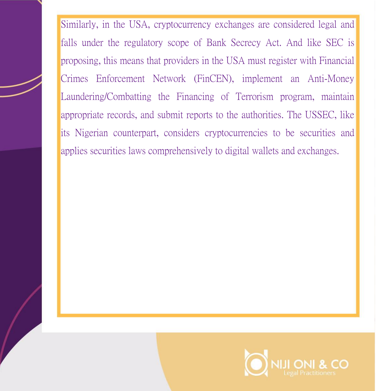Similarly, in the USA, cryptocurrency exchanges are considered legal and falls under the regulatory scope of Bank Secrecy Act. And like SEC is proposing, this means that providers in the USA must register with Financial Crimes Enforcement Network (FinCEN), implement an Anti-Money Laundering/Combatting the Financing of Terrorism program, maintain appropriate records, and submit reports to the authorities. The USSEC, like its Nigerian counterpart, considers cryptocurrencies to be securities and applies securities laws comprehensively to digital wallets and exchanges.